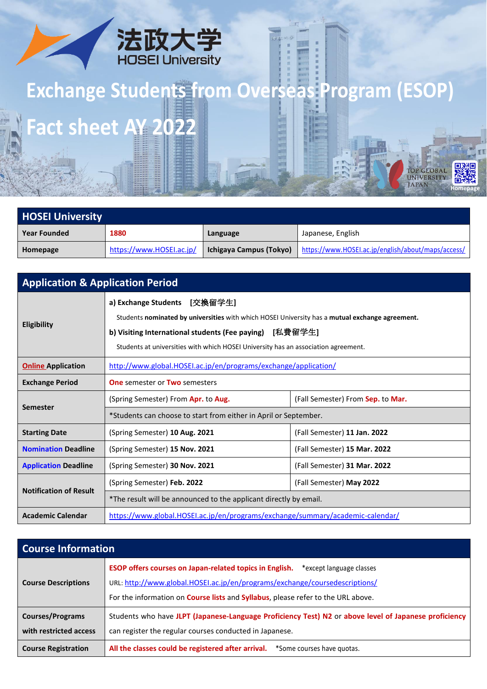

## **Exchange Students from Overseas Program (ESOP) Fact sheet AY 2022** THE STATE OF

| <b>HOSEI University</b> |                          |                         |                                                    |
|-------------------------|--------------------------|-------------------------|----------------------------------------------------|
| <b>Year Founded</b>     | 1880                     | Language                | Japanese, English                                  |
| Homepage                | https://www.HOSEI.ac.jp/ | Ichigaya Campus (Tokyo) | https://www.HOSEI.ac.jp/english/about/maps/access/ |

**Homepage**

医发回

TOP GLOBAL<br>UNIVERSITY<br>JAPAN

| <b>Application &amp; Application Period</b> |                                                                                                                                                                                                                                                                                  |                                   |  |
|---------------------------------------------|----------------------------------------------------------------------------------------------------------------------------------------------------------------------------------------------------------------------------------------------------------------------------------|-----------------------------------|--|
| Eligibility                                 | a) Exchange Students [交換留学生]<br>Students nominated by universities with which HOSEI University has a mutual exchange agreement.<br>b) Visiting International students (Fee paying) [私費留学生]<br>Students at universities with which HOSEI University has an association agreement. |                                   |  |
| <b>Online Application</b>                   | http://www.global.HOSEI.ac.jp/en/programs/exchange/application/                                                                                                                                                                                                                  |                                   |  |
| <b>Exchange Period</b>                      | <b>One</b> semester or <b>Two</b> semesters                                                                                                                                                                                                                                      |                                   |  |
| <b>Semester</b>                             | (Spring Semester) From Apr. to Aug.                                                                                                                                                                                                                                              | (Fall Semester) From Sep. to Mar. |  |
|                                             | *Students can choose to start from either in April or September.                                                                                                                                                                                                                 |                                   |  |
| <b>Starting Date</b>                        | (Spring Semester) 10 Aug. 2021                                                                                                                                                                                                                                                   | (Fall Semester) 11 Jan. 2022      |  |
| <b>Nomination Deadline</b>                  | (Spring Semester) 15 Nov. 2021                                                                                                                                                                                                                                                   | (Fall Semester) 15 Mar. 2022      |  |
| <b>Application Deadline</b>                 | (Spring Semester) 30 Nov. 2021                                                                                                                                                                                                                                                   | (Fall Semester) 31 Mar. 2022      |  |
| <b>Notification of Result</b>               | (Spring Semester) Feb. 2022                                                                                                                                                                                                                                                      | (Fall Semester) May 2022          |  |
|                                             | *The result will be announced to the applicant directly by email.                                                                                                                                                                                                                |                                   |  |
| <b>Academic Calendar</b>                    | https://www.global.HOSEI.ac.jp/en/programs/exchange/summary/academic-calendar/                                                                                                                                                                                                   |                                   |  |

| <b>Course Information</b>                         |                                                                                                                                                                                                                                                                              |  |
|---------------------------------------------------|------------------------------------------------------------------------------------------------------------------------------------------------------------------------------------------------------------------------------------------------------------------------------|--|
| <b>Course Descriptions</b>                        | <b>ESOP offers courses on Japan-related topics in English.</b><br>*except language classes<br>URL: http://www.global.HOSEI.ac.jp/en/programs/exchange/coursedescriptions/<br>For the information on <b>Course lists</b> and <b>Syllabus</b> , please refer to the URL above. |  |
| <b>Courses/Programs</b><br>with restricted access | Students who have JLPT (Japanese-Language Proficiency Test) N2 or above level of Japanese proficiency<br>can register the regular courses conducted in Japanese.                                                                                                             |  |
| <b>Course Registration</b>                        | All the classes could be registered after arrival. *Some courses have quotas.                                                                                                                                                                                                |  |